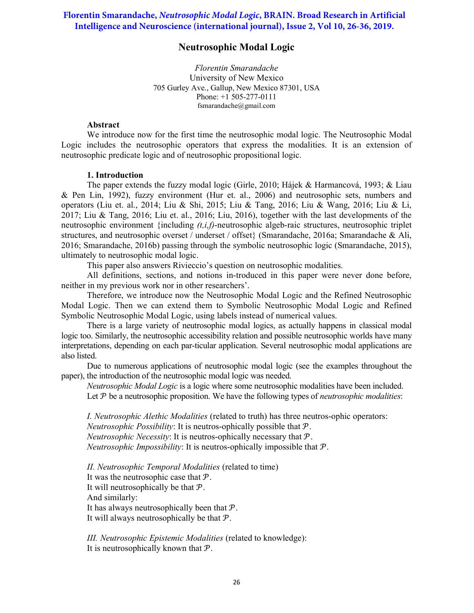# **Florentin Smarandache,** *Neutrosophic Modal Logic***, BRAIN. Broad Research in Artificial Intelligence and Neuroscience (international journal), Issue 2, Vol 10, 26-36, 2019.**

# Neutrosophic Modal Logic

Florentin Smarandache University of New Mexico 705 Gurley Ave., Gallup, New Mexico 87301, USA Phone: +1 505-277-0111 fsmarandache@gmail.com

# Abstract

We introduce now for the first time the neutrosophic modal logic. The Neutrosophic Modal Logic includes the neutrosophic operators that express the modalities. It is an extension of neutrosophic predicate logic and of neutrosophic propositional logic.

#### 1. Introduction

The paper extends the fuzzy modal logic (Girle, 2010; Hájek & Harmancová, 1993; & Liau & Pen Lin, 1992), fuzzy environment (Hur et. al., 2006) and neutrosophic sets, numbers and operators (Liu et. al., 2014; Liu & Shi, 2015; Liu & Tang, 2016; Liu & Wang, 2016; Liu & Li, 2017; Liu & Tang, 2016; Liu et. al., 2016; Liu, 2016), together with the last developments of the neutrosophic environment {including  $(t,i,f)$ -neutrosophic algeb-raic structures, neutrosophic triplet structures, and neutrosophic overset / underset / offset} (Smarandache, 2016a; Smarandache & Ali, 2016; Smarandache, 2016b) passing through the symbolic neutrosophic logic (Smarandache, 2015), ultimately to neutrosophic modal logic.

This paper also answers Rivieccio's question on neutrosophic modalities.

All definitions, sections, and notions in-troduced in this paper were never done before, neither in my previous work nor in other researchers'.

Therefore, we introduce now the Neutrosophic Modal Logic and the Refined Neutrosophic Modal Logic. Then we can extend them to Symbolic Neutrosophic Modal Logic and Refined Symbolic Neutrosophic Modal Logic, using labels instead of numerical values.

There is a large variety of neutrosophic modal logics, as actually happens in classical modal logic too. Similarly, the neutrosophic accessibility relation and possible neutrosophic worlds have many interpretations, depending on each par-ticular application. Several neutrosophic modal applications are also listed.

Due to numerous applications of neutrosophic modal logic (see the examples throughout the paper), the introduction of the neutrosophic modal logic was needed.

Neutrosophic Modal Logic is a logic where some neutrosophic modalities have been included. Let  $P$  be a neutrosophic proposition. We have the following types of *neutrosophic modalities*:

I. Neutrosophic Alethic Modalities (related to truth) has three neutros-ophic operators: *Neutrosophic Possibility*: It is neutros-ophically possible that  $P$ . *Neutrosophic Necessity*: It is neutros-ophically necessary that  $P$ . *Neutrosophic Impossibility*: It is neutros-ophically impossible that  $P$ .

II. Neutrosophic Temporal Modalities (related to time) It was the neutrosophic case that  $P$ . It will neutrosophically be that  $P$ . And similarly: It has always neutrosophically been that  $P$ . It will always neutrosophically be that  $P$ .

III. Neutrosophic Epistemic Modalities (related to knowledge): It is neutrosophically known that  $P$ .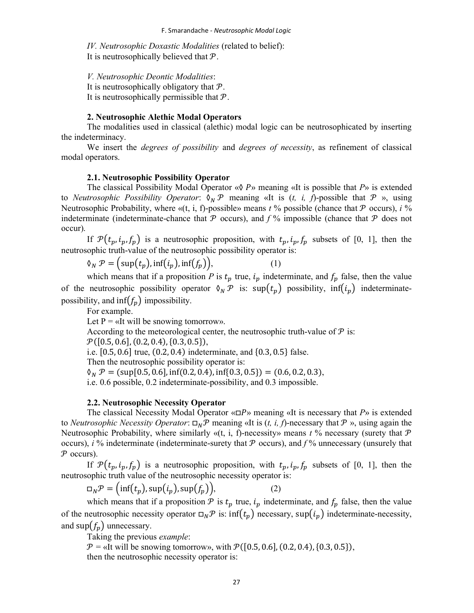IV. Neutrosophic Doxastic Modalities (related to belief): It is neutrosophically believed that  $P$ .

V. Neutrosophic Deontic Modalities: It is neutrosophically obligatory that  $P$ . It is neutrosophically permissible that  $P$ .

# 2. Neutrosophic Alethic Modal Operators

The modalities used in classical (alethic) modal logic can be neutrosophicated by inserting the indeterminacy.

We insert the *degrees of possibility* and *degrees of necessity*, as refinement of classical modal operators.

## 2.1. Neutrosophic Possibility Operator

The classical Possibility Modal Operator « $\Diamond P$ » meaning «It is possible that P» is extended to *Neutrosophic Possibility Operator*:  $\mathcal{O}_N \mathcal{P}$  meaning «It is (*t, i, f*)-possible that  $\mathcal{P}$  », using Neutrosophic Probability, where «(t, i, f)-possible» means  $t$  % possible (chance that  $P$  occurs),  $i$  % indeterminate (indeterminate-chance that  $\mathcal P$  occurs), and  $f$ % impossible (chance that  $\mathcal P$  does not occur).

If  $\mathcal{P}(t_p, i_p, f_p)$  is a neutrosophic proposition, with  $t_p, i_p, f_p$  subsets of [0, 1], then the neutrosophic truth-value of the neutrosophic possibility operator is:

$$
\delta_N \mathcal{P} = \Big(\sup(t_p), \inf(t_p), \inf(f_p)\Big),\tag{1}
$$

which means that if a proposition P is  $t_p$  true,  $i_p$  indeterminate, and  $f_p$  false, then the value of the neutrosophic possibility operator  $\delta_N \mathcal{P}$  is: sup $(t_p)$  possibility, inf $(i_p)$  indeterminatepossibility, and inf $(f_n)$  impossibility.

For example.

Let  $P = \alpha I$  will be snowing tomorrow».

According to the meteorological center, the neutrosophic truth-value of  $P$  is:

 $\mathcal{P}([0.5, 0.6], (0.2, 0.4), \{0.3, 0.5\}),$ 

i.e. [0.5, 0.6] true, (0.2, 0.4) indeterminate, and {0.3, 0.5} false.

Then the neutrosophic possibility operator is:

 $\mathcal{O}_N \mathcal{P} = (\text{sup}[0.5, 0.6], \text{inf}(0.2, 0.4), \text{inf}\{0.3, 0.5\}) = (0.6, 0.2, 0.3),$ 

i.e. 0.6 possible, 0.2 indeterminate-possibility, and 0.3 impossible.

## 2.2. Neutrosophic Necessity Operator

The classical Necessity Modal Operator « $\square P$ » meaning «It is necessary that  $P$ » is extended to Neutrosophic Necessity Operator:  $\Box_N \mathcal{P}$  meaning «It is (t, i, f)-necessary that  $\mathcal{P}$  », using again the Neutrosophic Probability, where similarly « $(t, i, f)$ -necessity» means  $t$  % necessary (surety that  $\mathcal P$ occurs), i % indeterminate (indeterminate-surety that  $\mathcal P$  occurs), and  $f$ % unnecessary (unsurely that  $P$  occurs).

If  $\mathcal{P}(t_p, i_p, f_p)$  is a neutrosophic proposition, with  $t_p, i_p, f_p$  subsets of [0, 1], then the neutrosophic truth value of the neutrosophic necessity operator is:

$$
\Box_N \mathcal{P} = (\inf(t_p), \sup(t_p), \sup(f_p)), \tag{2}
$$

which means that if a proposition  $P$  is  $t_p$  true,  $i_p$  indeterminate, and  $f_p$  false, then the value of the neutrosophic necessity operator  $\Box_N \mathcal{P}$  is: inf $(t_p)$  necessary, sup $(i_p)$  indeterminate-necessity, and sup $(f_p)$  unnecessary.

Taking the previous example:

 $P =$  «It will be snowing tomorrow», with  $P([0.5, 0.6], (0.2, 0.4), (0.3, 0.5))$ , then the neutrosophic necessity operator is: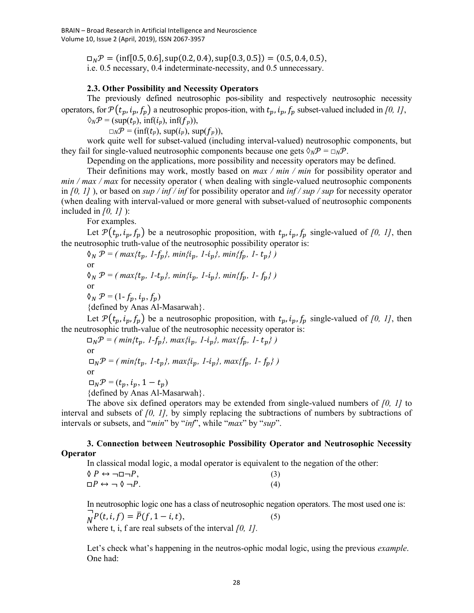$\Box_N \mathcal{P} = (\inf[0.5, 0.6], \sup(0.2, 0.4), \sup\{0.3, 0.5\}) = (0.5, 0.4, 0.5),$ i.e. 0.5 necessary, 0.4 indeterminate-necessity, and 0.5 unnecessary.

### 2.3. Other Possibility and Necessity Operators

The previously defined neutrosophic pos-sibility and respectively neutrosophic necessity operators, for  $\mathcal{P}(t_p, i_p, f_p)$  a neutrosophic propos-ition, with  $t_p, i_p, f_p$  subset-valued included in [0, 1],

 $\Diamond_N \mathcal{P} = (\sup(t_p), \inf(t_p), \inf(f_p)),$ 

 $\Box_N \mathcal{P} = (\inf(t_p), \, \sup(t_p), \, \sup(f_p)),$ 

work quite well for subset-valued (including interval-valued) neutrosophic components, but they fail for single-valued neutrosophic components because one gets  $\Diamond_{N} \mathcal{P} = \Box_{N} \mathcal{P}$ .

Depending on the applications, more possibility and necessity operators may be defined.

Their definitions may work, mostly based on *max / min / min* for possibility operator and  $min / max / max$  for necessity operator (when dealing with single-valued neutrosophic components in [0, 1] ), or based on sup / inf / inf for possibility operator and inf / sup / sup for necessity operator (when dealing with interval-valued or more general with subset-valued of neutrosophic components included in  $[0, 1]$  ):

For examples.

Let  $\mathcal{P}(t_p, i_p, f_p)$  be a neutrosophic proposition, with  $t_p, i_p, f_p$  single-valued of [0, 1], then the neutrosophic truth-value of the neutrosophic possibility operator is:

 $\mathcal{O}_N \mathcal{P} = (max\{t_p, 1-f_p\}, min\{i_p, 1-i_p\}, min\{f_p, 1-t_p\})$ or  $\delta_N P = (max\{t_p, 1-t_p\}, min\{i_p, 1-i_p\}, min\{f_p, 1-f_p\})$ or  $\mathcal{O}_N \mathcal{P} = (1 - f_n, i_n, f_n)$ {defined by Anas Al-Masarwah}.

Let  $\mathcal{P}(t_p, i_p, f_p)$  be a neutrosophic proposition, with  $t_p, i_p, f_p$  single-valued of [0, 1], then the neutrosophic truth-value of the neutrosophic necessity operator is:

 $\Box_N \mathcal{P} = ( min\{t_p, 1-f_p\}, max\{i_p, 1-i_p\}, max\{f_p, 1-t_p\})$ or  $\Box_N \mathcal{P} = (min\{t_p, l-t_p\}, max\{i_p, l-i_p\}, max\{f_p, l-f_p\})$ or  $\Box_N \mathcal{P} = (t_n, i_n, 1-t_n)$ {defined by Anas Al-Masarwah}.

The above six defined operators may be extended from single-valued numbers of  $[0, 1]$  to interval and subsets of  $[0, 1]$ , by simply replacing the subtractions of numbers by subtractions of intervals or subsets, and "min" by "inf", while "max" by "sup".

# 3. Connection between Neutrosophic Possibility Operator and Neutrosophic Necessity Operator

In classical modal logic, a modal operator is equivalent to the negation of the other:

| $\Diamond P \leftrightarrow \neg \Box \neg P$ , |  | (3) |
|-------------------------------------------------|--|-----|
| $\Box P \leftrightarrow \neg \Diamond \neg P.$  |  | (4) |

In neutrosophic logic one has a class of neutrosophic negation operators. The most used one is:<br> $\overrightarrow{P}(t, i, f) = \overline{P}(f, 1 - i, t)$ , (5)  $\overrightarrow{N}P(t, i, f) = \overline{P}(f, 1 - i, t),$  (5) where t, i, f are real subsets of the interval  $[0, 1]$ .

Let's check what's happening in the neutros-ophic modal logic, using the previous *example*. One had: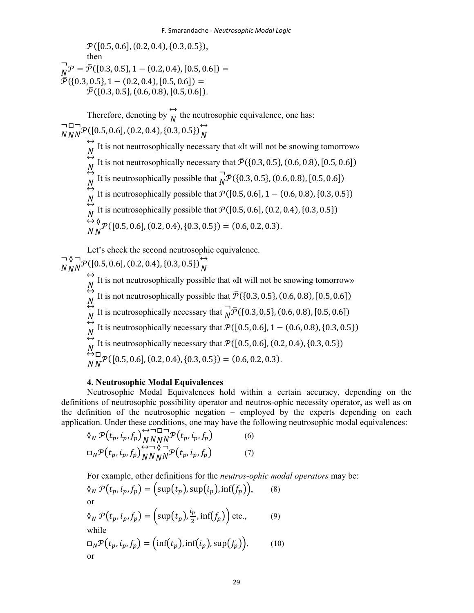$\mathcal{P}([0.5, 0.6], (0.2, 0.4), \{0.3, 0.5\}),$ then  $\overline{a}$  $\overline{N}_{\overline{N}}\mathcal{P} = \overline{\mathcal{P}}(\{0.3, 0.5\}, 1 - (0.2, 0.4), [0.5, 0.6]) =$  $\overline{\overline{\mathcal{P}}}$ ({0.3, 0.5}, 1 – (0.2, 0.4), [0.5, 0.6]) =  $\overline{\mathcal{P}}$ ({0.3, 0.5}, (0.6, 0.8), [0.5, 0.6]). Therefore, denoting by  $\overleftrightarrow{h}$  $\overrightarrow{N}$  the neutrosophic equivalence, one has: ¬  $N_{\it l}$ □  $N<sup>2</sup>$  $\neg$  $N^{\mathcal{P}}([0.5, 0.6], (0.2, 0.4), (0.3, 0.5))$  $\leftrightarrow$ It is not neutrosophically necessary that «It will not be snowing tomorrow»  $\tilde{N}$  $\leftrightarrow$  $\stackrel{N}{\leftrightarrow}$ It is not neutrosophically necessary that  $\bar{\mathcal{P}}$  ({0.3, 0.5}, (0.6, 0.8), [0.5, 0.6]) It is neutrosophically possible that  $\overline{N}^2$  $N^{\sim}$ It is neutrosophically possible that  $\bar{N}(\{0.3, 0.5\}, (0.6, 0.8), [0.5, 0.6])$  $\leftrightarrow$  $\stackrel{N}{\leftrightarrow}$ It is neutrosophically possible that  $\mathcal{P}([0.5, 0.6], 1 - (0.6, 0.8), \{0.3, 0.5\})$ It is neutrosophically possible that  $P([0.5, 0.6], (0.2, 0.4), \{0.3, 0.5\})$  $\leftrightarrow$  $N_{\rm s}$ ◊  $_{N}^{\circ}$  $\mathcal{P}([0.5, 0.6], (0.2, 0.4), \{0.3, 0.5\}) = (0.6, 0.2, 0.3).$ 

Let's check the second neutrosophic equivalence. ¬  $N_{\it I}$ ◊  $N<sup>1</sup>$  $\neg$  $N^{\mathcal{P}}([0.5, 0.6], (0.2, 0.4), \{0.3, 0.5\})$  $\leftrightarrow$ It is not neutrosophically possible that «It will not be snowing tomorrow»  $\leftrightarrow$  $\overset{N}{\leftrightarrow}$ It is not neutrosophically possible that  $\bar{\mathcal{P}}$  ({0.3, 0.5}, (0.6, 0.8), [0.5, 0.6])  $\stackrel{N}{\leftrightarrow}$ It is neutrosophically necessary that  $\overline{N}$  $\overline{N}$  $\overline{P}$ ({0.3, 0.5}, (0.6, 0.8), [0.5, 0.6])  $\stackrel{N}{\leftrightarrow}$ It is neutrosophically necessary that  $\mathcal{P}([0.5, 0.6], 1 - (0.6, 0.8), \{0.3, 0.5\})$  $\stackrel{N}{\leftrightarrow}_{\mathsf{L}}$ It is neutrosophically necessary that  $\mathcal{P}([0.5, 0.6], (0.2, 0.4), \{0.3, 0.5\})$  $N_{\rm s}$ □  $_{N}^{\square}$  $\mathcal{P}([0.5, 0.6], (0.2, 0.4), \{0.3, 0.5\}) = (0.6, 0.2, 0.3).$ 

# 4. Neutrosophic Modal Equivalences

Neutrosophic Modal Equivalences hold within a certain accuracy, depending on the definitions of neutrosophic possibility operator and neutros-ophic necessity operator, as well as on the definition of the neutrosophic negation – employed by the experts depending on each application. Under these conditions, one may have the following neutrosophic modal equivalences:

$$
\delta_N \mathcal{P}(t_p, i_p, f_p) \overset{\leftrightarrow}{\underset{N}{N}} \overset{\Box}{\underset{N}{N}} \overset{\Box}{\underset{N}{N}} \left(t_p, i_p, f_p\right) \tag{6}
$$
\n
$$
\Box_N \mathcal{P}(t_p, i_p, f_p) \overset{\leftrightarrow}{\underset{N}{N}} \overset{\Box}{\underset{N}{N}} \overset{\Box}{\underset{N}{N}} \left(t_p, i_p, f_p\right) \tag{7}
$$

For example, other definitions for the neutros-ophic modal operators may be:  $\delta_N \mathcal{P}(t_p, i_p, f_p) = (\sup(t_p), \sup(i_p), \inf(f_p)),$  (8) or  $\delta_N \mathcal{P}(t_p, i_p, f_p) = \left(\sup(t_p), \frac{i_p}{2}\right)$  $\frac{\pi}{2}$ , inf $(f_p)$  etc., (9) while  $\Box_N \mathcal{P}(t_p, i_p, f_p) = (\inf(t_p), \inf(i_p), \sup(f_p)),$  (10) or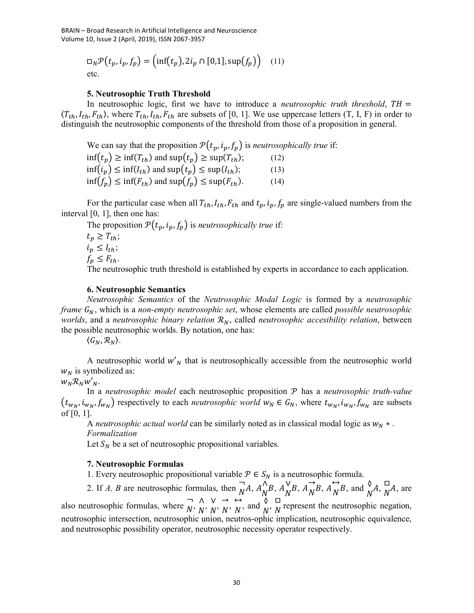BRAIN – Broad Research in Artificial Intelligence and Neuroscience Volume 10, Issue 2 (April, 2019), ISSN 2067-3957

$$
\Box_N \mathcal{P}(t_p, i_p, f_p) = \left(\inf(t_p), 2i_p \cap [0,1], \sup(f_p)\right) \quad (11)
$$
  
etc.

### 5. Neutrosophic Truth Threshold

In neutrosophic logic, first we have to introduce a *neutrosophic truth threshold*,  $TH =$  $\langle T_{th}, I_{th}, F_{th} \rangle$ , where  $T_{th}, I_{th}, F_{th}$  are subsets of [0, 1]. We use uppercase letters (T, I, F) in order to distinguish the neutrosophic components of the threshold from those of a proposition in general.

We can say that the proposition  $P(t_p, i_p, f_p)$  is *neutrosophically true* if:  $\inf(t_p) \ge \inf(T_{th})$  and  $\sup(t_p) \ge \sup(T_{th})$ ; (12)  $\inf(i_p) \le \inf(I_{th})$  and  $\sup(t_p) \le \sup(I_{th})$ ; (13)  $\inf(f_n) \le \inf(F_{th})$  and  $\sup(f_n) \le \sup(F_{th})$ . (14)

For the particular case when all  $T_{th}$ ,  $I_{th}$ ,  $F_{th}$  and  $t_p$ ,  $i_p$ ,  $f_p$  are single-valued numbers from the interval [0, 1], then one has:

The proposition  $P(t_p, i_p, f_p)$  is neutrosophically true if:

 $t_p \geq T_{th};$  $i_p \leq I_{th};$  $f_p \leq F_{th}$ .

The neutrosophic truth threshold is established by experts in accordance to each application.

#### 6. Neutrosophic Semantics

Neutrosophic Semantics of the Neutrosophic Modal Logic is formed by a neutrosophic *frame*  $G_N$ , which is a *non-empty neutrosophic set*, whose elements are called *possible neutrosophic* worlds, and a neutrosophic binary relation  $\mathcal{R}_N$ , called neutrosophic accesibility relation, between the possible neutrosophic worlds. By notation, one has:

 $\langle G_N, \mathcal{R}_N \rangle$ .

A neutrosophic world  $w'_{N}$  that is neutrosophically accessible from the neutrosophic world  $w_N$  is symbolized as:

In a neutrosophic model each neutrosophic proposition  $P$  has a neutrosophic truth-value  $(t_{w_N}, i_{w_N}, f_{w_N})$  respectively to each *neutrosophic world*  $w_N \in G_N$ , where  $t_{w_N}, i_{w_N}, f_{w_N}$  are subsets of [0, 1].

A neutrosophic actual world can be similarly noted as in classical modal logic as  $w_N$  \*. Formalization

Let  $S_N$  be a set of neutrosophic propositional variables.

## 7. Neutrosophic Formulas

1. Every neutrosophic propositional variable  $P \in S_N$  is a neutrosophic formula.

2. If A, B are neutrosophic formulas, then  $\overline{N}$  $\overline{N}A$ ,  $A_N^{\Lambda}$  $\bigwedge^{\Lambda} B, A_N^{\vee}$  $\bigwedge^{\mathsf{V}} B, \bigwedge^{\rightarrow} \bigwedge^{\mathsf{V}} B$  $\overrightarrow{N}B$ ,  $A\overrightarrow{N}I$  $\overleftrightarrow{N}B$ , and  $\overrightarrow{N}A$ ,  $\overrightarrow{N}$  $\overline{N}A$ , are also neutrosophic formulas, where  $\overline{N}$ ,  $\overline{N}$ ,  $\overline{N}$  $\begin{array}{cc} \wedge & \vee \\ \wedge & N \end{array}$  $\begin{array}{ccc} \vee & \rightarrow & \\ N' & N' \end{array}$  $\rightarrow$   $\leftrightarrow$ <br> $N$ ,  $N$ ,  $\overleftrightarrow{N}$ , and  $\overleftrightarrow{N}$ ,  $\overrightarrow{N}$  $\overline{N}$  represent the neutrosophic negation, neutrosophic intersection, neutrosophic union, neutros-ophic implication, neutrosophic equivalence, and neutrosophic possibility operator, neutrosophic necessity operator respectively.

 $W_N \mathcal{R}_N W'_{N}$ .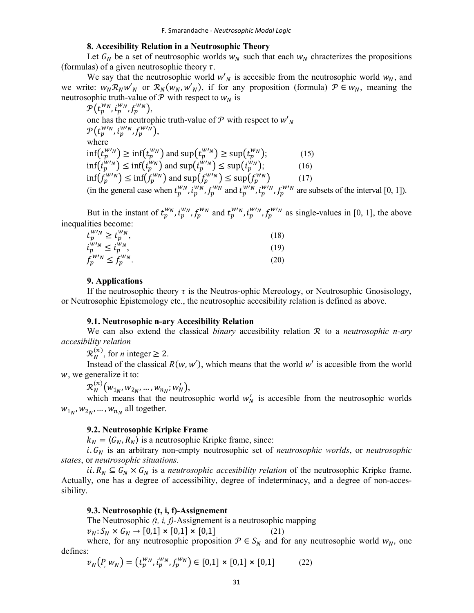#### 8. Accesibility Relation in a Neutrosophic Theory

Let  $G_N$  be a set of neutrosophic worlds  $W_N$  such that each  $W_N$  chracterizes the propositions (formulas) of a given neutrosophic theory  $\tau$ .

We say that the neutrosophic world  $w'_{N}$  is accesible from the neutrosophic world  $w_{N}$ , and we write:  $w_N \mathcal{R}_N w'_N$  or  $\mathcal{R}_N(w_N, w'_N)$ , if for any proposition (formula)  $\mathcal{P} \in w_N$ , meaning the neutrosophic truth-value of  $P$  with respect to  $W_N$  is

 $\mathcal{P}\left(t^{w_N}_p, i^{w_N}_p, f^{w_N}_p\right)$ one has the neutrophic truth-value of  $P$  with respect to  $w'_{N}$  $\mathcal{P}\big(t_p^{w\prime_N},i_p^{w\prime_N},f_p^{w\prime_N}\big),$ where  $\inf(t_p^{w/n}) \ge \inf(t_p^{w/n})$  and  $\sup(t_p^{w/n}) \ge \sup(t_p^{w/n})$ ; (15)  $\inf(i_p^{W_N}) \le \inf(i_p^{W_N})$  and  $\sup(i_p^{W_N}) \le \sup(i_p^{W_N})$ ; (16)  $\inf(f_p^{w}{'}^N) \leq \inf(f_p^{w}{'}^N)$  and  $\sup(f_p^{w}{'}^N) \leq \sup(f_p^{w}{'}^N)$  (17) (in the general case when  $t_p^{w_N}$ ,  $i_p^{w_N}$ ,  $f_p^{w_N}$  and  $t_p^{w_N}$ ,  $i_p^{w_N}$ ,  $f_p^{w_N}$  are subsets of the interval [0, 1]).

But in the instant of  $t_p^{w_N}$ ,  $t_p^{w_N}$ ,  $f_p^{w_N}$  and  $t_p^{w_N}$ ,  $t_p^{w_N}$ ,  $f_p^{w_N}$  as single-values in [0, 1], the above inequalities become:

| $t_p^{w\nu} \geq t_p^{w_N},$        | (18) |
|-------------------------------------|------|
| $i_p^{W'N} \leq i_p^{W_N}$ ,        | (19) |
| $f_p^{W^{\prime}N} \leq f_p^{W_N}.$ | (20) |

#### 9. Applications

If the neutrosophic theory  $\tau$  is the Neutros-ophic Mereology, or Neutrosophic Gnosisology, or Neutrosophic Epistemology etc., the neutrosophic accesibility relation is defined as above.

#### 9.1. Neutrosophic n-ary Accesibility Relation

We can also extend the classical binary accesibility relation  $R$  to a neutrosophic n-ary accesibility relation

 $\mathcal{R}_N^{(n)}$ , for *n* integer  $\geq 2$ .

Instead of the classical  $R(w, w')$ , which means that the world w' is accesible from the world , we generalize it to:

 $\mathcal{R}_N^{(n)}(w_{1_N}, w_{2_N}, \dots, w_{n_N}; w'_N),$ 

which means that the neutrosophic world  $w'_N$  is accesible from the neutrosophic worlds  $w_{1_N}, w_{2_N}, \dots, w_{n_N}$  all together.

# 9.2. Neutrosophic Kripke Frame

 $k_N = \langle G_N, R_N \rangle$  is a neutrosophic Kripke frame, since:

i.  $G_N$  is an arbitrary non-empty neutrosophic set of *neutrosophic worlds*, or *neutrosophic* states, or neutrosophic situations.

ii.  $R_N \subseteq G_N \times G_N$  is a *neutrosophic accesibility relation* of the neutrosophic Kripke frame. Actually, one has a degree of accessibility, degree of indeterminacy, and a degree of non-accessibility.

#### 9.3. Neutrosophic (t, i, f)-Assignement

The Neutrosophic  $(t, i, f)$ -Assignement is a neutrosophic mapping

 $v_N: S_N \times G_N \to [0,1] \times [0,1] \times [0,1]$  (21)

where, for any neutrosophic proposition  $P \in S_N$  and for any neutrosophic world  $W_N$ , one defines:

$$
\nu_N(P, w_N) = (t_p^{w_N}, t_p^{w_N}, f_p^{w_N}) \in [0,1] \times [0,1] \times [0,1] \tag{22}
$$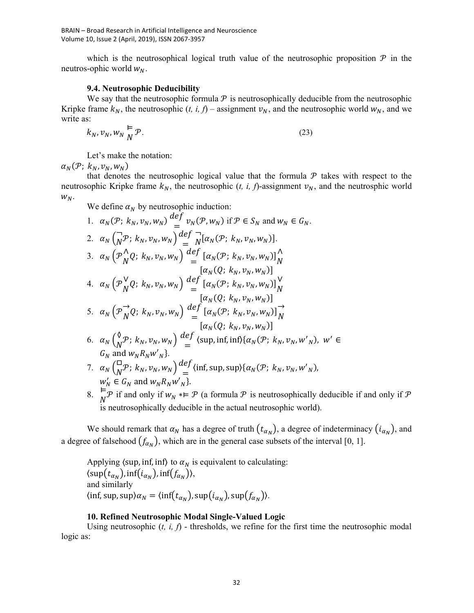which is the neutrosophical logical truth value of the neutrosophic proposition  $P$  in the neutros-ophic world  $w_N$ .

# 9.4. Neutrosophic Deducibility

We say that the neutrosophic formula  $P$  is neutrosophically deducible from the neutrosophic Kripke frame  $k_N$ , the neutrosophic (t, i, f) – assignment  $v_N$ , and the neutrosophic world  $w_N$ , and we write as:

$$
k_N, v_N, w_N \stackrel{\mathsf{L}}{\underset{N}{\mathcal{P}}} \mathcal{P}.\tag{23}
$$

Let's make the notation:

 $\alpha_N(\mathcal{P}; k_N, v_N, w_N)$ 

that denotes the neutrosophic logical value that the formula  $P$  takes with respect to the neutrosophic Kripke frame  $k_N$ , the neutrosophic (*t, i, f*)-assignment  $v_N$ , and the neutrosphic world  $W_N$ .

We define  $\alpha_N$  by neutrosophic induction:

1. 
$$
\alpha_N(\mathcal{P}; k_N, v_N, w_N) \stackrel{\text{def}}{=} v_N(\mathcal{P}, w_N)
$$
 if  $\mathcal{P} \in S_N$  and  $w_N \in G_N$ .  
\n2.  $\alpha_N \left(\frac{1}{N}\mathcal{P}; k_N, v_N, w_N\right) \stackrel{\text{def}}{=} \frac{1}{N} [\alpha_N(\mathcal{P}; k_N, v_N, w_N)]$ .  
\n3.  $\alpha_N \left(\mathcal{P}_N^{\Lambda} Q; k_N, v_N, w_N\right) \stackrel{\text{def}}{=} [\alpha_N(\mathcal{P}; k_N, v_N, w_N)]_N^{\Lambda}$   
\n
$$
[\alpha_N(Q; k_N, v_N, w_N)]
$$
  
\n4.  $\alpha_N \left(\mathcal{P}_N^{\Lambda} Q; k_N, v_N, w_N\right) \stackrel{\text{def}}{=} [\alpha_N(\mathcal{P}; k_N, v_N, w_N)]_N^{\Lambda}$   
\n
$$
[\alpha_N(Q; k_N, v_N, w_N)]
$$
  
\n5.  $\alpha_N \left(\mathcal{P}_N^{\Lambda} Q; k_N, v_N, w_N\right) \stackrel{\text{def}}{=} [\alpha_N(\mathcal{P}; k_N, v_N, w_N)]_N^{\Lambda}$   
\n
$$
[\alpha_N(Q; k_N, v_N, w_N)]
$$
  
\n6.  $\alpha_N \left(\frac{\delta}{N}\mathcal{P}; k_N, v_N, w_N\right) \stackrel{\text{def}}{=} (\text{sup, inf, inf}\{\alpha_N(\mathcal{P}; k_N, v_N, w_N), w_N\}, w_N, w_N, w_N)$ .  
\n7.  $\alpha_N \left(\frac{\Box}{N}\mathcal{P}; k_N, v_N, w_N\right) \stackrel{\text{def}}{=} (\text{inf, sup, sup}\{\alpha_N(\mathcal{P}; k_N, v_N, w_N), w_N, w_N\}, w_N, w_N, w_N, w_N\}$ .

8.  $\mathbb{F}^{\mathcal{P}}$  if and only if  $w_N * \in \mathcal{P}$  (a formula  $\mathcal{P}$  is neutrosophically deducible if and only if  $\mathcal{P}$ is neutrosophically deducible in the actual neutrosophic world).

We should remark that  $\alpha_N$  has a degree of truth  $(t_{\alpha_N})$ , a degree of indeterminacy  $(i_{\alpha_N})$ , and a degree of falsehood  $(f_{\alpha_N})$ , which are in the general case subsets of the interval [0, 1].

Applying  $\langle \text{sup, inf, inf} \rangle$  to  $\alpha_N$  is equivalent to calculating:  $\langle \sup(t_{\alpha_N})$ , inf $(i_{\alpha_N})$ , inf $(f_{\alpha_N})$ ), and similarly  $\langle \inf \frac{\text{sup}}{\alpha_N} \text{sup}(\frac{t_{\alpha_N}}{\alpha_N})$ , sup $\left( \frac{t_{\alpha_N}}{\alpha_N} \right)$ .

## 10. Refined Neutrosophic Modal Single-Valued Logic

Using neutrosophic  $(t, i, f)$  - thresholds, we refine for the first time the neutrosophic modal logic as: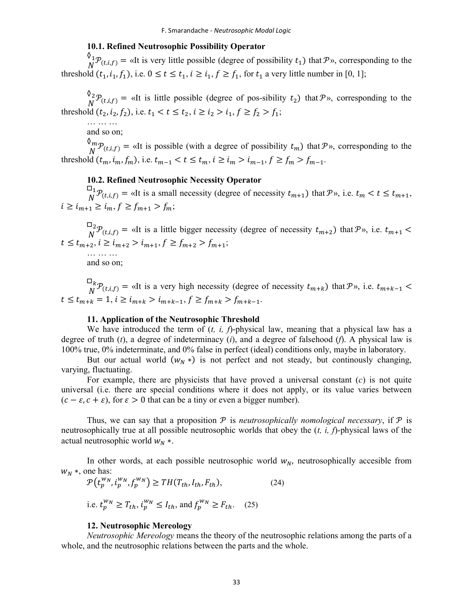# 10.1. Refined Neutrosophic Possibility Operator

 $\mathbf{0}_1$  $N^{\nu_1}P_{(t,i,f)} = \alpha I$ t is very little possible (degree of possibility  $t_1$ ) that  $P$ », corresponding to the threshold  $(t_1, i_1, f_1)$ , i.e.  $0 \le t \le t_1$ ,  $i \ge i_1$ ,  $f \ge f_1$ , for  $t_1$  a very little number in [0, 1];

 $\mathcal{O}_2$  $N^2 \mathcal{P}_{(t,i,f)} = \alpha$  at is little possible (degree of pos-sibility  $t_2$ ) that  $\mathcal{P}_2$ , corresponding to the threshold  $(t_2, i_2, f_2)$ , i.e.  $t_1 < t \leq t_2$ ,  $i \geq i_2 > i_1$ ,  $f \geq f_2 > f_1$ ;

… … … and so on;

 $\mathcal{O}_m$  $\mathcal{L}_{N}^{m} \mathcal{P}_{(t,i,f)} = \alpha$  at is possible (with a degree of possibility  $t_m$ ) that  $\mathcal{P}_{N}$ , corresponding to the threshold  $(t_m, i_m, f_m)$ , i.e.  $t_{m-1} < t \leq t_m$ ,  $i \geq i_m > i_{m-1}$ ,  $f \geq f_m > f_{m-1}$ .

# 10.2. Refined Neutrosophic Necessity Operator

 $\square_1$  $\mathcal{B}_N^{-1} \mathcal{P}_{(t,i,f)} = \alpha$ It is a small necessity (degree of necessity  $t_{m+1}$ ) that  $\mathcal{P}_{\gamma}$ , i.e.  $t_m < t \leq t_{m+1}$ ,  $i \ge i_{m+1} \ge i_m, f \ge f_{m+1} > f_m;$ 

 $\square_2$  $N^2 \mathcal{P}_{(t,i,f)}$  = «It is a little bigger necessity (degree of necessity  $t_{m+2}$ ) that  $\mathcal{P}_v$ , i.e.  $t_{m+1}$  <  $t \le t_{m+2}, i \ge i_{m+2} > i_{m+1}, f \ge f_{m+2} > f_{m+1};$ … … …

and so on;

 $\square_k$  ${}^{\neg k}_{N}$  $P_{(t,i,f)} =$  «It is a very high necessity (degree of necessity  $t_{m+k}$ ) that  $P$ », i.e.  $t_{m+k-1}$  <  $t \le t_{m+k} = 1, i \ge i_{m+k} > i_{m+k-1}, f \ge f_{m+k} > f_{m+k-1}.$ 

# 11. Application of the Neutrosophic Threshold

We have introduced the term of  $(t, i, f)$ -physical law, meaning that a physical law has a degree of truth  $(t)$ , a degree of indeterminacy  $(i)$ , and a degree of falsehood  $(f)$ . A physical law is 100% true, 0% indeterminate, and 0% false in perfect (ideal) conditions only, maybe in laboratory.

But our actual world  $(w_N^*)$  is not perfect and not steady, but continously changing, varying, fluctuating.

For example, there are physicists that have proved a universal constant  $(c)$  is not quite universal (i.e. there are special conditions where it does not apply, or its value varies between  $(c - \varepsilon, c + \varepsilon)$ , for  $\varepsilon > 0$  that can be a tiny or even a bigger number).

Thus, we can say that a proposition  $P$  is *neutrosophically nomological necessary*, if  $P$  is neutrosophically true at all possible neutrosophic worlds that obey the  $(t, i, f)$ -physical laws of the actual neutrosophic world  $w_N$  ∗.

In other words, at each possible neutrosophic world  $w_N$ , neutrosophically accesible from  $W_N$  \*, one has:

$$
\mathcal{P}(t_p^{w_N}, i_p^{w_N}, f_p^{w_N}) \ge TH(T_{th}, I_{th}, F_{th}),
$$
\n
$$
\text{i.e. } t_p^{w_N} \ge T_{th}, i_p^{w_N} \le I_{th}, \text{ and } f_p^{w_N} \ge F_{th}. \tag{25}
$$

#### 12. Neutrosophic Mereology

Neutrosophic Mereology means the theory of the neutrosophic relations among the parts of a whole, and the neutrosophic relations between the parts and the whole.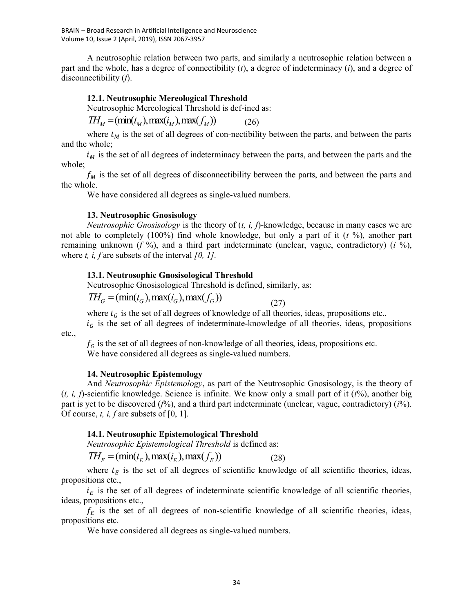BRAIN – Broad Research in Artificial Intelligence and Neuroscience Volume 10, Issue 2 (April, 2019), ISSN 2067-3957

A neutrosophic relation between two parts, and similarly a neutrosophic relation between a part and the whole, has a degree of connectibility  $(t)$ , a degree of indeterminacy  $(i)$ , and a degree of disconnectibility (f).

### 12.1. Neutrosophic Mereological Threshold

Neutrosophic Mereological Threshold is def-ined as:

 $TH_M = (\min(t_M), \max(t_M), \max(t_M))$  (26)

where  $t_M$  is the set of all degrees of con-nectibility between the parts, and between the parts and the whole;

 $i_M$  is the set of all degrees of indeterminacy between the parts, and between the parts and the whole;

 $f_M$  is the set of all degrees of disconnectibility between the parts, and between the parts and the whole.

We have considered all degrees as single-valued numbers.

#### 13. Neutrosophic Gnosisology

*Neutrosophic Gnosisology* is the theory of  $(t, i, f)$ -knowledge, because in many cases we are not able to completely (100%) find whole knowledge, but only a part of it  $(t \gamma_0)$ , another part remaining unknown (f %), and a third part indeterminate (unclear, vague, contradictory) (i %), where t, i, f are subsets of the interval  $[0, 1]$ .

#### 13.1. Neutrosophic Gnosisological Threshold

Neutrosophic Gnosisological Threshold is defined, similarly, as:

 $TH_c = (min(t_c), max(t_c), max(f_c))$ 

(27)

where  $t_G$  is the set of all degrees of knowledge of all theories, ideas, propositions etc.,

 $i_G$  is the set of all degrees of indeterminate-knowledge of all theories, ideas, propositions

etc.,

 $f_G$  is the set of all degrees of non-knowledge of all theories, ideas, propositions etc. We have considered all degrees as single-valued numbers.

#### 14. Neutrosophic Epistemology

And Neutrosophic Epistemology, as part of the Neutrosophic Gnosisology, is the theory of  $(t, i, f)$ -scientific knowledge. Science is infinite. We know only a small part of it  $(t\%)$ , another big part is yet to be discovered  $(f%)$ , and a third part indeterminate (unclear, vague, contradictory) ( $i\%$ ). Of course, t, i, f are subsets of  $[0, 1]$ .

# 14.1. Neutrosophic Epistemological Threshold

Neutrosophic Epistemological Threshold is defined as:

 $TH_F = (\min(t_F), \max(t_F), \max(f_F))$  (28)

where  $t_E$  is the set of all degrees of scientific knowledge of all scientific theories, ideas, propositions etc.,

 $i_E$  is the set of all degrees of indeterminate scientific knowledge of all scientific theories, ideas, propositions etc.,

 $f_E$  is the set of all degrees of non-scientific knowledge of all scientific theories, ideas, propositions etc.

We have considered all degrees as single-valued numbers.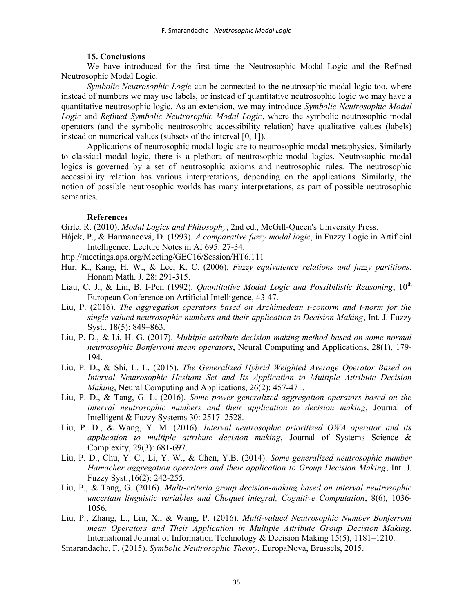# 15. Conclusions

We have introduced for the first time the Neutrosophic Modal Logic and the Refined Neutrosophic Modal Logic.

Symbolic Neutrosophic Logic can be connected to the neutrosophic modal logic too, where instead of numbers we may use labels, or instead of quantitative neutrosophic logic we may have a quantitative neutrosophic logic. As an extension, we may introduce Symbolic Neutrosophic Modal Logic and Refined Symbolic Neutrosophic Modal Logic, where the symbolic neutrosophic modal operators (and the symbolic neutrosophic accessibility relation) have qualitative values (labels) instead on numerical values (subsets of the interval [0, 1]).

Applications of neutrosophic modal logic are to neutrosophic modal metaphysics. Similarly to classical modal logic, there is a plethora of neutrosophic modal logics. Neutrosophic modal logics is governed by a set of neutrosophic axioms and neutrosophic rules. The neutrosophic accessibility relation has various interpretations, depending on the applications. Similarly, the notion of possible neutrosophic worlds has many interpretations, as part of possible neutrosophic semantics.

# References

Girle, R. (2010). *Modal Logics and Philosophy*, 2nd ed., McGill-Queen's University Press.

- Hájek, P., & Harmancová, D. (1993). A comparative fuzzy modal logic, in Fuzzy Logic in Artificial Intelligence, Lecture Notes in AI 695: 27-34.
- http://meetings.aps.org/Meeting/GEC16/Session/HT6.111
- Hur, K., Kang, H. W., & Lee, K. C. (2006). Fuzzy equivalence relations and fuzzy partitions, Honam Math. J. 28: 291-315.
- Liau, C. J., & Lin, B. I-Pen (1992). Quantitative Modal Logic and Possibilistic Reasoning,  $10^{th}$ European Conference on Artificial Intelligence, 43-47.
- Liu, P. (2016). The aggregation operators based on Archimedean t-conorm and t-norm for the single valued neutrosophic numbers and their application to Decision Making, Int. J. Fuzzy Syst., 18(5): 849–863.
- Liu, P. D., & Li, H. G. (2017). Multiple attribute decision making method based on some normal neutrosophic Bonferroni mean operators, Neural Computing and Applications, 28(1), 179- 194.
- Liu, P. D., & Shi, L. L. (2015). The Generalized Hybrid Weighted Average Operator Based on Interval Neutrosophic Hesitant Set and Its Application to Multiple Attribute Decision Making, Neural Computing and Applications, 26(2): 457-471.
- Liu, P. D., & Tang, G. L. (2016). Some power generalized aggregation operators based on the interval neutrosophic numbers and their application to decision making, Journal of Intelligent & Fuzzy Systems 30: 2517–2528.
- Liu, P. D., & Wang, Y. M. (2016). Interval neutrosophic prioritized OWA operator and its application to multiple attribute decision making, Journal of Systems Science  $\&$ Complexity, 29(3): 681-697.
- Liu, P. D., Chu, Y. C., Li, Y. W., & Chen, Y.B. (2014). Some generalized neutrosophic number Hamacher aggregation operators and their application to Group Decision Making, Int. J. Fuzzy Syst.,16(2): 242-255.
- Liu, P., & Tang, G. (2016). Multi-criteria group decision-making based on interval neutrosophic uncertain linguistic variables and Choquet integral, Cognitive Computation, 8(6), 1036- 1056.
- Liu, P., Zhang, L., Liu, X., & Wang, P. (2016). Multi-valued Neutrosophic Number Bonferroni mean Operators and Their Application in Multiple Attribute Group Decision Making, International Journal of Information Technology & Decision Making 15(5), 1181–1210.
- Smarandache, F. (2015). Symbolic Neutrosophic Theory, EuropaNova, Brussels, 2015.